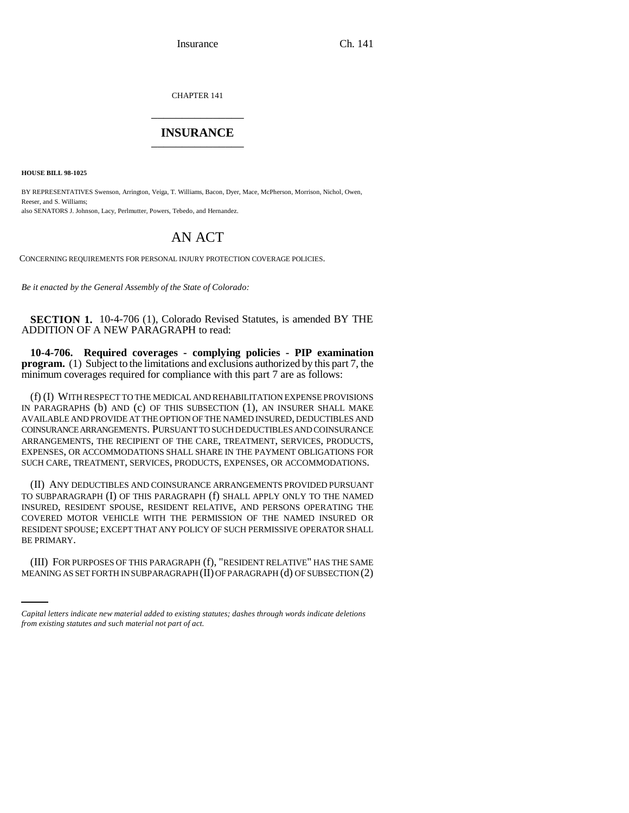Insurance Ch. 141

CHAPTER 141 \_\_\_\_\_\_\_\_\_\_\_\_\_\_\_

## **INSURANCE** \_\_\_\_\_\_\_\_\_\_\_\_\_\_\_

**HOUSE BILL 98-1025**

BY REPRESENTATIVES Swenson, Arrington, Veiga, T. Williams, Bacon, Dyer, Mace, McPherson, Morrison, Nichol, Owen, Reeser, and S. Williams: also SENATORS J. Johnson, Lacy, Perlmutter, Powers, Tebedo, and Hernandez.

## AN ACT

CONCERNING REQUIREMENTS FOR PERSONAL INJURY PROTECTION COVERAGE POLICIES.

*Be it enacted by the General Assembly of the State of Colorado:*

**SECTION 1.** 10-4-706 (1), Colorado Revised Statutes, is amended BY THE ADDITION OF A NEW PARAGRAPH to read:

**10-4-706. Required coverages - complying policies - PIP examination program.** (1) Subject to the limitations and exclusions authorized by this part 7, the minimum coverages required for compliance with this part 7 are as follows:

(f) (I) WITH RESPECT TO THE MEDICAL AND REHABILITATION EXPENSE PROVISIONS IN PARAGRAPHS (b) AND (c) OF THIS SUBSECTION (1), AN INSURER SHALL MAKE AVAILABLE AND PROVIDE AT THE OPTION OF THE NAMED INSURED, DEDUCTIBLES AND COINSURANCE ARRANGEMENTS. PURSUANT TO SUCH DEDUCTIBLES AND COINSURANCE ARRANGEMENTS, THE RECIPIENT OF THE CARE, TREATMENT, SERVICES, PRODUCTS, EXPENSES, OR ACCOMMODATIONS SHALL SHARE IN THE PAYMENT OBLIGATIONS FOR SUCH CARE, TREATMENT, SERVICES, PRODUCTS, EXPENSES, OR ACCOMMODATIONS.

(II) ANY DEDUCTIBLES AND COINSURANCE ARRANGEMENTS PROVIDED PURSUANT TO SUBPARAGRAPH (I) OF THIS PARAGRAPH (f) SHALL APPLY ONLY TO THE NAMED INSURED, RESIDENT SPOUSE, RESIDENT RELATIVE, AND PERSONS OPERATING THE COVERED MOTOR VEHICLE WITH THE PERMISSION OF THE NAMED INSURED OR RESIDENT SPOUSE; EXCEPT THAT ANY POLICY OF SUCH PERMISSIVE OPERATOR SHALL BE PRIMARY.

(III) FOR PURPOSES OF THIS PARAGRAPH (f), "RESIDENT RELATIVE" HAS THE SAME MEANING AS SET FORTH IN SUBPARAGRAPH (II) OF PARAGRAPH (d) OF SUBSECTION (2)

*Capital letters indicate new material added to existing statutes; dashes through words indicate deletions from existing statutes and such material not part of act.*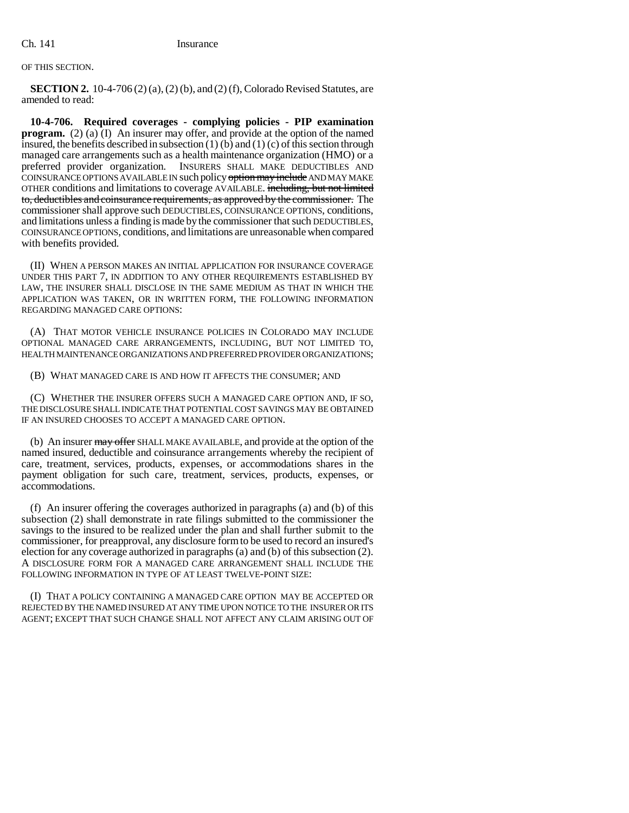## OF THIS SECTION.

**SECTION 2.** 10-4-706 (2) (a), (2) (b), and (2) (f), Colorado Revised Statutes, are amended to read:

**10-4-706. Required coverages - complying policies - PIP examination program.** (2) (a) (I) An insurer may offer, and provide at the option of the named insured, the benefits described in subsection  $(1)$  (b) and  $(1)$  (c) of this section through managed care arrangements such as a health maintenance organization (HMO) or a preferred provider organization. INSURERS SHALL MAKE DEDUCTIBLES AND COINSURANCE OPTIONS AVAILABLE IN such policy option may include AND MAY MAKE OTHER conditions and limitations to coverage AVAILABLE. including, but not limited to, deductibles and coinsurance requirements, as approved by the commissioner. The commissioner shall approve such DEDUCTIBLES, COINSURANCE OPTIONS, conditions, coINSURANCE OPTIONS, conditions, and limitations are unreasonable when compared with benefits provided.

(II) WHEN A PERSON MAKES AN INITIAL APPLICATION FOR INSURANCE COVERAGE UNDER THIS PART 7, IN ADDITION TO ANY OTHER REQUIREMENTS ESTABLISHED BY LAW, THE INSURER SHALL DISCLOSE IN THE SAME MEDIUM AS THAT IN WHICH THE APPLICATION WAS TAKEN, OR IN WRITTEN FORM, THE FOLLOWING INFORMATION REGARDING MANAGED CARE OPTIONS:

(A) THAT MOTOR VEHICLE INSURANCE POLICIES IN COLORADO MAY INCLUDE OPTIONAL MANAGED CARE ARRANGEMENTS, INCLUDING, BUT NOT LIMITED TO, HEALTH MAINTENANCE ORGANIZATIONS AND PREFERRED PROVIDER ORGANIZATIONS;

(B) WHAT MANAGED CARE IS AND HOW IT AFFECTS THE CONSUMER; AND

(C) WHETHER THE INSURER OFFERS SUCH A MANAGED CARE OPTION AND, IF SO, THE DISCLOSURE SHALL INDICATE THAT POTENTIAL COST SAVINGS MAY BE OBTAINED IF AN INSURED CHOOSES TO ACCEPT A MANAGED CARE OPTION.

(b) An insurer may offer SHALL MAKE AVAILABLE, and provide at the option of the named insured, deductible and coinsurance arrangements whereby the recipient of care, treatment, services, products, expenses, or accommodations shares in the payment obligation for such care, treatment, services, products, expenses, or accommodations.

(f) An insurer offering the coverages authorized in paragraphs (a) and (b) of this subsection (2) shall demonstrate in rate filings submitted to the commissioner the savings to the insured to be realized under the plan and shall further submit to the commissioner, for preapproval, any disclosure form to be used to record an insured's election for any coverage authorized in paragraphs (a) and (b) of this subsection (2). A DISCLOSURE FORM FOR A MANAGED CARE ARRANGEMENT SHALL INCLUDE THE FOLLOWING INFORMATION IN TYPE OF AT LEAST TWELVE-POINT SIZE:

(I) THAT A POLICY CONTAINING A MANAGED CARE OPTION MAY BE ACCEPTED OR REJECTED BY THE NAMED INSURED AT ANY TIME UPON NOTICE TO THE INSURER OR ITS AGENT; EXCEPT THAT SUCH CHANGE SHALL NOT AFFECT ANY CLAIM ARISING OUT OF